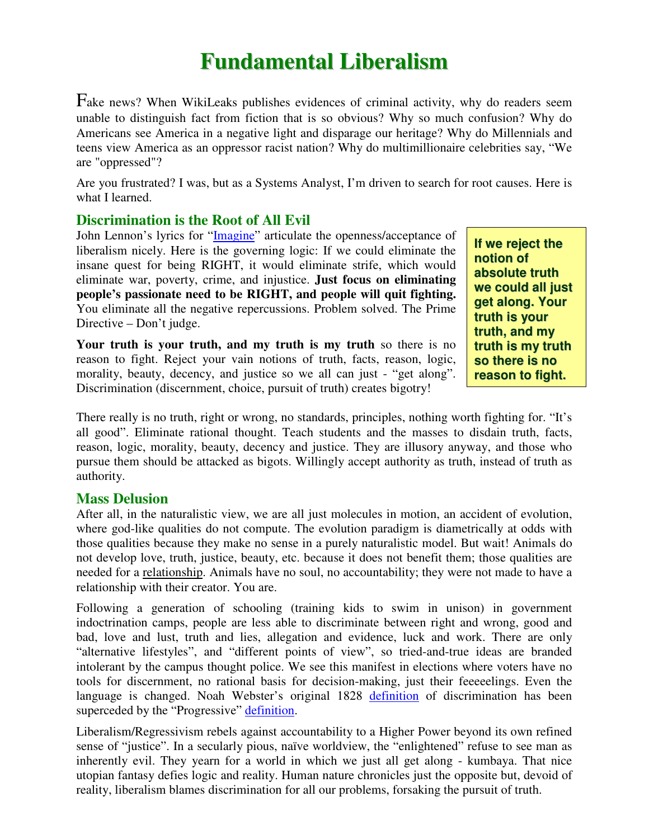# **Fundamental Liberalism**

Fake news? When WikiLeaks publishes evidences of criminal activity, why do readers seem unable to distinguish fact from fiction that is so obvious? Why so much confusion? Why do Americans see America in a negative light and disparage our heritage? Why do Millennials and teens view America as an oppressor racist nation? Why do multimillionaire celebrities say, "We are "oppressed"?

Are you frustrated? I was, but as a Systems Analyst, I'm driven to search for root causes. Here is what I learned.

### **Discrimination is the Root of All Evil**

John Lennon's lyrics for "Imagine" articulate the openness/acceptance of liberalism nicely. Here is the governing logic: If we could eliminate the insane quest for being RIGHT, it would eliminate strife, which would eliminate war, poverty, crime, and injustice. **Just focus on eliminating people's passionate need to be RIGHT, and people will quit fighting.** You eliminate all the negative repercussions. Problem solved. The Prime Directive – Don't judge.

**Your truth is your truth, and my truth is my truth** so there is no reason to fight. Reject your vain notions of truth, facts, reason, logic, morality, beauty, decency, and justice so we all can just - "get along". Discrimination (discernment, choice, pursuit of truth) creates bigotry!

**If we reject the notion of absolute truth we could all just get along. Your truth is your truth, and my truth is my truth so there is no reason to fight.**

There really is no truth, right or wrong, no standards, principles, nothing worth fighting for. "It's all good". Eliminate rational thought. Teach students and the masses to disdain truth, facts, reason, logic, morality, beauty, decency and justice. They are illusory anyway, and those who pursue them should be attacked as bigots. Willingly accept authority as truth, instead of truth as authority.

#### **Mass Delusion**

After all, in the naturalistic view, we are all just molecules in motion, an accident of evolution, where god-like qualities do not compute. The evolution paradigm is diametrically at odds with those qualities because they make no sense in a purely naturalistic model. But wait! Animals do not develop love, truth, justice, beauty, etc. because it does not benefit them; those qualities are needed for a relationship. Animals have no soul, no accountability; they were not made to have a relationship with their creator. You are.

Following a generation of schooling (training kids to swim in unison) in government indoctrination camps, people are less able to discriminate between right and wrong, good and bad, love and lust, truth and lies, allegation and evidence, luck and work. There are only "alternative lifestyles", and "different points of view", so tried-and-true ideas are branded intolerant by the campus thought police. We see this manifest in elections where voters have no tools for discernment, no rational basis for decision-making, just their feeeeelings. Even the language is changed. Noah Webster's original 1828 definition of discrimination has been superceded by the "Progressive" definition.

Liberalism/Regressivism rebels against accountability to a Higher Power beyond its own refined sense of "justice". In a secularly pious, naïve worldview, the "enlightened" refuse to see man as inherently evil. They yearn for a world in which we just all get along - kumbaya. That nice utopian fantasy defies logic and reality. Human nature chronicles just the opposite but, devoid of reality, liberalism blames discrimination for all our problems, forsaking the pursuit of truth.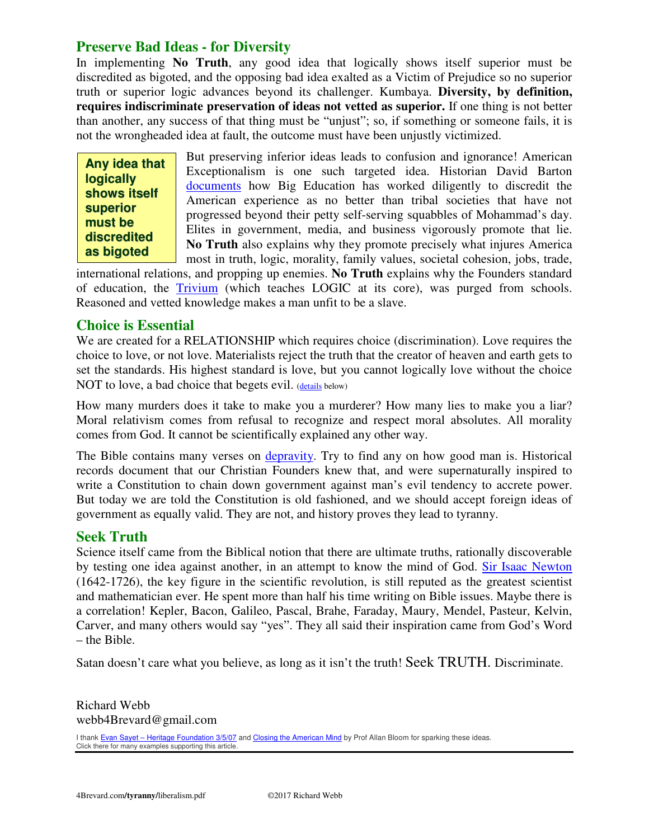**Preserve Bad Ideas - for Diversity**<br>
In implementing No Truth, any good<br>
discredited as bigoted, and the opposing ba<br>
truth or superior logic advances beyond<br>
requires indiscriminate preservation of it<br>
than another, any In implementing **No Truth**, any good idea that logically shows itself superior must be discredited as bigoted, and the opposing bad idea exalted as a Victim of Prejudice so no superior truth or superior logic advances beyond its challenger. Kumbaya. **Diversity, by definition, requires indiscriminate preservation of ideas not vetted as superior.** If one thing is not better than another, any success of that thing must be "unjust"; so, if something or someone fails, it is not the wrongheaded idea at fault, the outcome must have been unjustly victimized.

**Any idea that Any idea that logically logically shows itself shows itself superior superior must be must be discredited discredited as bigoted**

But preserving inferior ideas leads to confusion and ignorance! American Exceptionalism is one such targeted idea. Historian David Barton documents how Big Education has worked diligently to discredit the American experience as no better than tribal societies that have not progressed beyond their petty self-serving squabbles of Mohammad's day. Elites in government, media, and business vigorously promote that lie. **No Truth** also explains why they promote precisely what injures America most in truth, logic, morality, family values, societal cohesion, jobs, trade,

international relations, and propping up enemies. **No Truth** explains why the Founders standard of education, the Trivium (which teaches LOGIC at its core), was purged from schools. Reasoned and vetted knowledge makes a man unfit to be a slave.

#### **Choice is Essential**

We are created for a RELATIONSHIP which requires choice (discrimination). Love requires the choice to love, or not love. Materialists reject the truth that the creator of heaven and earth gets to set the standards. His highest standard is love, but you cannot logically love without the choice NOT to love, a bad choice that begets evil. (details below)

How many murders does it take to make you a murderer? How many lies to make you a liar? Moral relativism comes from refusal to recognize and respect moral absolutes. All morality comes from God. It cannot be scientifically explained any other way.

The Bible contains many verses on depravity. Try to find any on how good man is. Historical records document that our Christian Founders knew that, and were supernaturally inspired to write a Constitution to chain down government against man's evil tendency to accrete power. But today we are told the Constitution is old fashioned, and we should accept foreign ideas of government as equally valid. They are not, and history proves they lead to tyranny.

#### **Seek Truth**

Science itself came from the Biblical notion that there are ultimate truths, rationally discoverable by testing one idea against another, in an attempt to know the mind of God. Sir Isaac Newton (1642-1726), the key figure in the scientific revolution, is still reputed as the greatest scientist and mathematician ever. He spent more than half his time writing on Bible issues. Maybe there is a correlation! Kepler, Bacon, Galileo, Pascal, Brahe, Faraday, Maury, Mendel, Pasteur, Kelvin, Carver, and many others would say "yes". They all said their inspiration came from God's Word – the Bible.

Satan doesn't care what you believe, as long as it isn't the truth! Seek TRUTH. Discriminate.

Richard Webb webb4Brevard@gmail.com

I thank Evan Sayet - Heritage Foundation 3/5/07 and Closing the American Mind by Prof Allan Bloom for sparking these ideas. Click there for many examples supporting this article.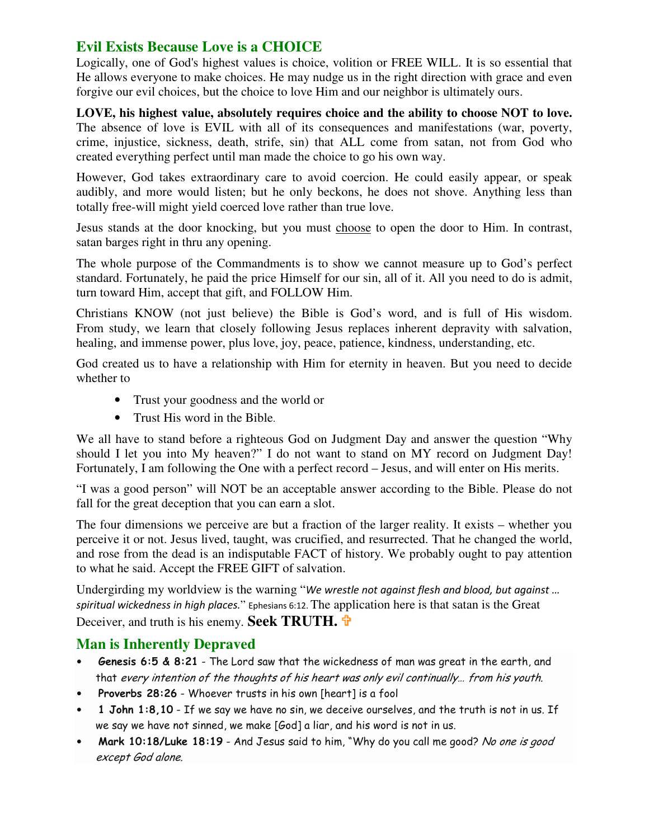## **Evil Exists Because Love is a CHOICE**

Logically, one of God's highest values is choice, volition or FREE WILL. It is so essential that He allows everyone to make choices. He may nudge us in the right direction with grace and even forgive our evil choices, but the choice to love Him and our neighbor is ultimately ours.

**LOVE, his highest value, absolutely requires choice and the ability to choose NOT to love.**  The absence of love is EVIL with all of its consequences and manifestations (war, poverty, crime, injustice, sickness, death, strife, sin) that ALL come from satan, not from God who created everything perfect until man made the choice to go his own way.

However, God takes extraordinary care to avoid coercion. He could easily appear, or speak audibly, and more would listen; but he only beckons, he does not shove. Anything less than totally free-will might yield coerced love rather than true love.

Jesus stands at the door knocking, but you must choose to open the door to Him. In contrast, satan barges right in thru any opening.

The whole purpose of the Commandments is to show we cannot measure up to God's perfect standard. Fortunately, he paid the price Himself for our sin, all of it. All you need to do is admit, turn toward Him, accept that gift, and FOLLOW Him.

Christians KNOW (not just believe) the Bible is God's word, and is full of His wisdom. From study, we learn that closely following Jesus replaces inherent depravity with salvation, healing, and immense power, plus love, joy, peace, patience, kindness, understanding, etc.

God created us to have a relationship with Him for eternity in heaven. But you need to decide whether to

- Trust your goodness and the world or
- Trust His word in the Bible.

We all have to stand before a righteous God on Judgment Day and answer the question "Why should I let you into My heaven?" I do not want to stand on MY record on Judgment Day! Fortunately, I am following the One with a perfect record – Jesus, and will enter on His merits.

"I was a good person" will NOT be an acceptable answer according to the Bible. Please do not fall for the great deception that you can earn a slot.

The four dimensions we perceive are but a fraction of the larger reality. It exists – whether you perceive it or not. Jesus lived, taught, was crucified, and resurrected. That he changed the world, and rose from the dead is an indisputable FACT of history. We probably ought to pay attention to what he said. Accept the FREE GIFT of salvation.

Undergirding my worldview is the warning "We wrestle not against flesh and blood, but against ... spiritual wickedness in high places." Ephesians 6:12. The application here is that satan is the Great Deceiver, and truth is his enemy. **Seek TRUTH.**

### **Man is Inherently Depraved**

- Genesis 6:5 & 8:21 The Lord saw that the wickedness of man was great in the earth, and that every intention of the thoughts of his heart was only evil continually… from his youth.
- Proverbs 28:26 Whoever trusts in his own [heart] is a fool
- 1 John 1:8,10 If we say we have no sin, we deceive ourselves, and the truth is not in us. If we say we have not sinned, we make [God] a liar, and his word is not in us.
- Mark 10:18/Luke 18:19 And Jesus said to him, "Why do you call me good? No one is good except God alone.